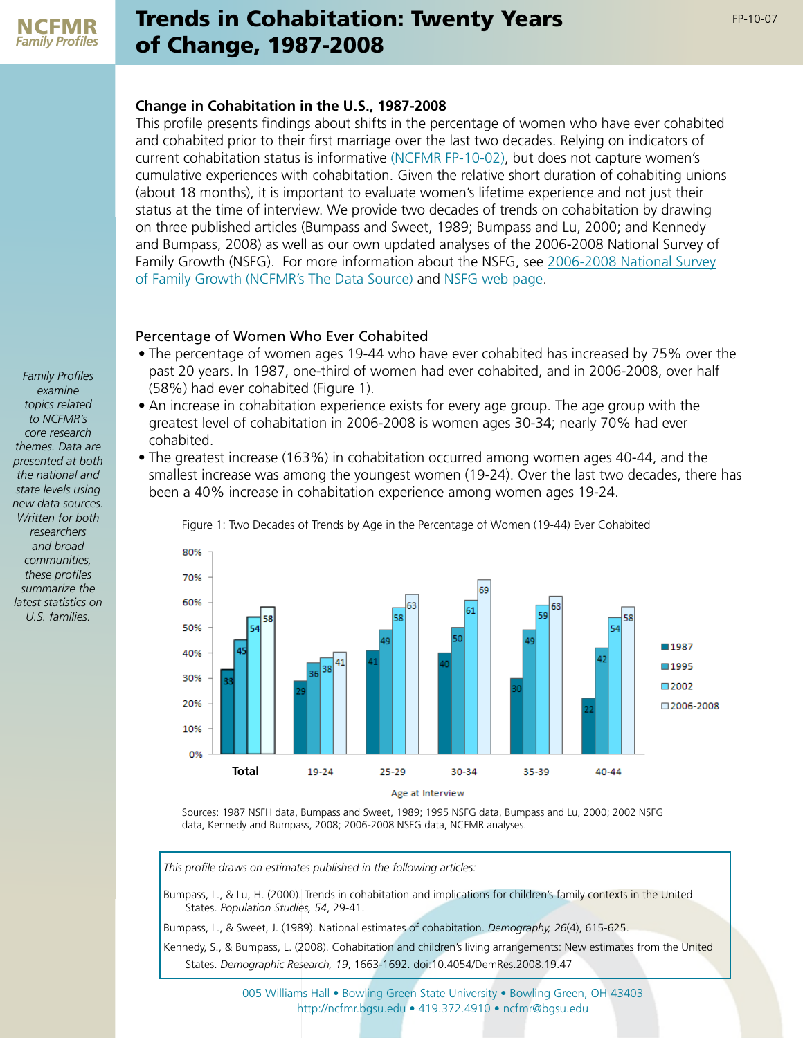

# Trends in Cohabitation: Twenty Years of Change, 1987-2008

## **Change in Cohabitation in the U.S., 1987-2008**

This profile presents findings about shifts in the percentage of women who have ever cohabited and cohabited prior to their first marriage over the last two decades. Relying on indicators of current cohabitation status is informative ([NCFMR FP-10-02](http://ncfmr.bgsu.edu/pdf/family_profiles/file84526.pdf)), but does not capture women's cumulative experiences with cohabitation. Given the relative short duration of cohabiting unions (about 18 months), it is important to evaluate women's lifetime experience and not just their status at the time of interview. We provide two decades of trends on cohabitation by drawing on three published articles (Bumpass and Sweet, 1989; Bumpass and Lu, 2000; and Kennedy and Bumpass, 2008) as well as our own updated analyses of the 2006-2008 National Survey of Family Growth (NSFG). For more information about the NSFG, see [2006-2008 National Survey](http://ncfmr.bgsu.edu/pdf/thedatasource/file82901.pdf) [of Family Growth \(NCFMR's The Data Source\)](http://ncfmr.bgsu.edu/pdf/thedatasource/file82901.pdf) and [NSFG web page](http://www.cdc.gov/nchs/nsfg.htm).

### Percentage of Women Who Ever Cohabited

- The percentage of women ages 19-44 who have ever cohabited has increased by 75% over the past 20 years. In 1987, one-third of women had ever cohabited, and in 2006-2008, over half (58%) had ever cohabited (Figure 1).
- An increase in cohabitation experience exists for every age group. The age group with the greatest level of cohabitation in 2006-2008 is women ages 30-34; nearly 70% had ever cohabited.
- The greatest increase (163%) in cohabitation occurred among women ages 40-44, and the smallest increase was among the youngest women (19-24). Over the last two decades, there has been a 40% increase in cohabitation experience among women ages 19-24.



Figure 1: Two Decades of Trends by Age in the Percentage of Women (19-44) Ever Cohabited

Sources: 1987 NSFH data, Bumpass and Sweet, 1989; 1995 NSFG data, Bumpass and Lu, 2000; 2002 NSFG data, Kennedy and Bumpass, 2008; 2006-2008 NSFG data, NCFMR analyses.

*This profile draws on estimates published in the following articles:*

Bumpass, L., & Lu, H. (2000). Trends in cohabitation and implications for children's family contexts in the United States. *Population Studies, 54*, 29-41.

Bumpass, L., & Sweet, J. (1989). National estimates of cohabitation. *Demography, 26*(4), 615-625.

Kennedy, S., & Bumpass, L. (2008). Cohabitation and children's living arrangements: New estimates from the United States. *Demographic Research, 19*, 1663-1692. doi:10.4054/DemRes.2008.19.47

> 005 Williams Hall • Bowling Green State University • Bowling Green, OH 43403 http://ncfmr.bgsu.edu • 419.372.4910 • ncfmr@bgsu.edu

*Family Profiles examine topics related to NCFMR's core research themes. Data are presented at both the national and state levels using new data sources. Written for both researchers and broad communities, these profiles summarize the latest statistics on U.S. families.*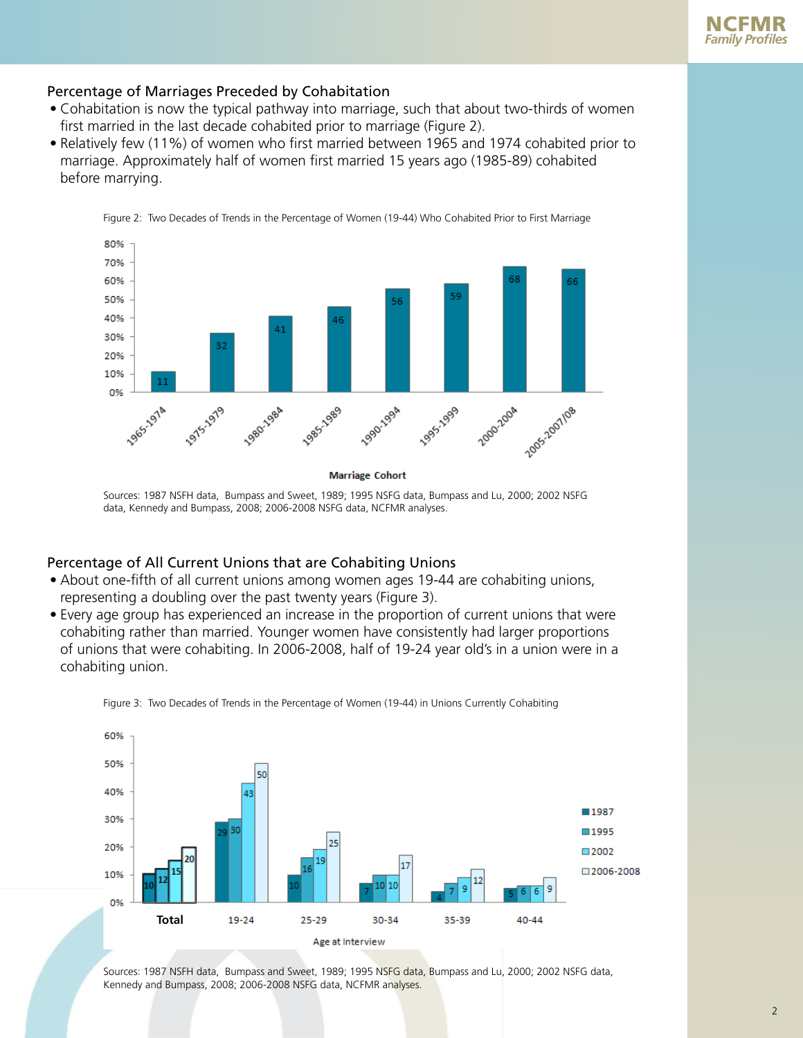

#### Percentage of Marriages Preceded by Cohabitation

- Cohabitation is now the typical pathway into marriage, such that about two-thirds of women first married in the last decade cohabited prior to marriage (Figure 2).
- Relatively few (11%) of women who first married between 1965 and 1974 cohabited prior to marriage. Approximately half of women first married 15 years ago (1985-89) cohabited before marrying.



Figure 2: Two Decades of Trends in the Percentage of Women (19-44) Who Cohabited Prior to First Marriage

Sources: 1987 NSFH data, Bumpass and Sweet, 1989; 1995 NSFG data, Bumpass and Lu, 2000; 2002 NSFG data, Kennedy and Bumpass, 2008; 2006-2008 NSFG data, NCFMR analyses.

#### Percentage of All Current Unions that are Cohabiting Unions

- About one-fifth of all current unions among women ages 19-44 are cohabiting unions, representing a doubling over the past twenty years (Figure 3).
- Every age group has experienced an increase in the proportion of current unions that were cohabiting rather than married. Younger women have consistently had larger proportions of unions that were cohabiting. In 2006-2008, half of 19-24 year old's in a union were in a cohabiting union.



Figure 3: Two Decades of Trends in the Percentage of Women (19-44) in Unions Currently Cohabiting

Sources: 1987 NSFH data, Bumpass and Sweet, 1989; 1995 NSFG data, Bumpass and Lu, 2000; 2002 NSFG data, Kennedy and Bumpass, 2008; 2006-2008 NSFG data, NCFMR analyses.